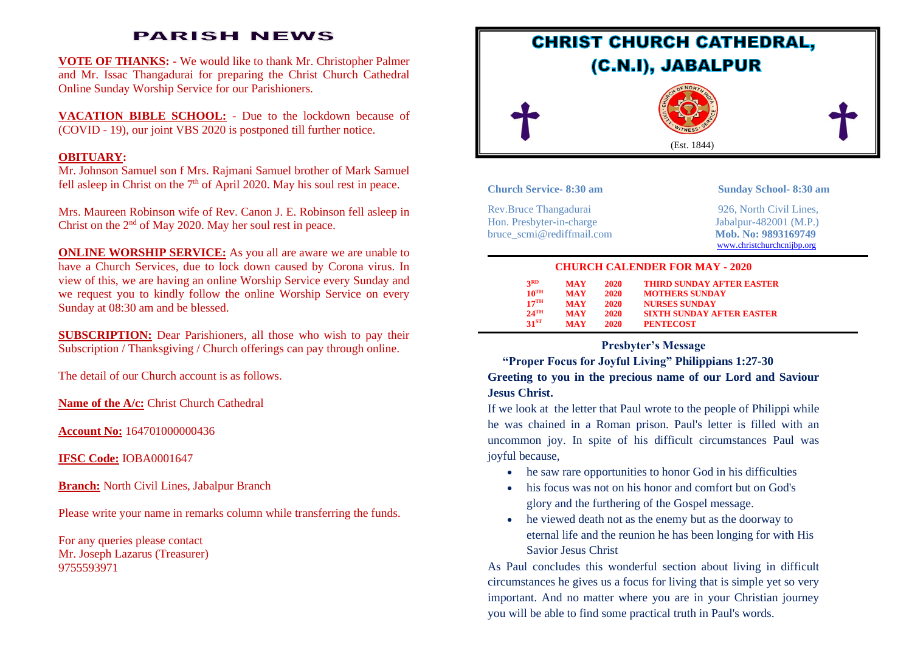# **PARISH NEWS**

**VOTE OF THANKS: -** We would like to thank Mr. Christopher Palmer and Mr. Issac Thangadurai for preparing the Christ Church Cathedral Online Sunday Worship Service for our Parishioners.

**VACATION BIBLE SCHOOL:** - Due to the lockdown because of (COVID - 19), our joint VBS 2020 is postponed till further notice.

#### **OBITUARY:**

Mr. Johnson Samuel son f Mrs. Rajmani Samuel brother of Mark Samuel fell asleep in Christ on the  $7<sup>th</sup>$  of April 2020. May his soul rest in peace.

Mrs. Maureen Robinson wife of Rev. Canon J. E. Robinson fell asleep in Christ on the  $2<sup>nd</sup>$  of May 2020. May her soul rest in peace.

**ONLINE WORSHIP SERVICE:** As you all are aware we are unable to have a Church Services, due to lock down caused by Corona virus. In view of this, we are having an online Worship Service every Sunday and we request you to kindly follow the online Worship Service on every Sunday at 08:30 am and be blessed.

**SUBSCRIPTION:** Dear Parishioners, all those who wish to pay their Subscription / Thanksgiving / Church offerings can pay through online.

The detail of our Church account is as follows.

**Name of the A/c:** Christ Church Cathedral

**Account No:** 164701000000436

**IFSC Code:** IOBA0001647

**Branch:** North Civil Lines, Jabalpur Branch

Please write your name in remarks column while transferring the funds.

For any queries please contact Mr. Joseph Lazarus (Treasurer) 9755593971



| <b>Church Service-8:30 am</b> | <b>Sunday School-8:30 am</b> |
|-------------------------------|------------------------------|
| Rev.Bruce Thangadurai         | 926. North Civil Lines.      |
| Hon. Presbyter-in-charge      | Jabalpur-482001 $(M.P.)$     |
| bruce scmi@rediffmail.com     | Mob. No: 9893169749          |
|                               | www.christchurchcnijbp.org   |

#### **CHURCH CALENDER FOR MAY - 2020**

| <b>3RD</b>         | <b>MAY</b> | <b>2020</b> | <b>THIRD SUNDAY AFTER EASTER</b> |
|--------------------|------------|-------------|----------------------------------|
| $10^{TH}$          | <b>MAY</b> | 2020        | <b>MOTHERS SUNDAY</b>            |
| $17$ <sup>TH</sup> | <b>MAY</b> | 2020        | <b>NURSES SUNDAY</b>             |
| $2.4$ TH           | <b>MAY</b> | 2020        | <b>SIXTH SUNDAY AFTER EASTER</b> |
| $31^{ST}$          | <b>MAY</b> | 2020        | <b>PENTECOST</b>                 |

# **Presbyter's Message**

## **"Proper Focus for Joyful Living" Philippians 1:27-30**

## **Greeting to you in the precious name of our Lord and Saviour Jesus Christ.**

If we look at the letter that Paul wrote to the people of Philippi while he was chained in a Roman prison. Paul's letter is filled with an uncommon joy. In spite of his difficult circumstances Paul was joyful because,

- he saw rare opportunities to honor God in his difficulties
- his focus was not on his honor and comfort but on God's glory and the furthering of the Gospel message.
- he viewed death not as the enemy but as the doorway to eternal life and the reunion he has been longing for with His Savior Jesus Christ

As Paul concludes this wonderful section about living in difficult circumstances he gives us a focus for living that is simple yet so very important. And no matter where you are in your Christian journey you will be able to find some practical truth in Paul's words.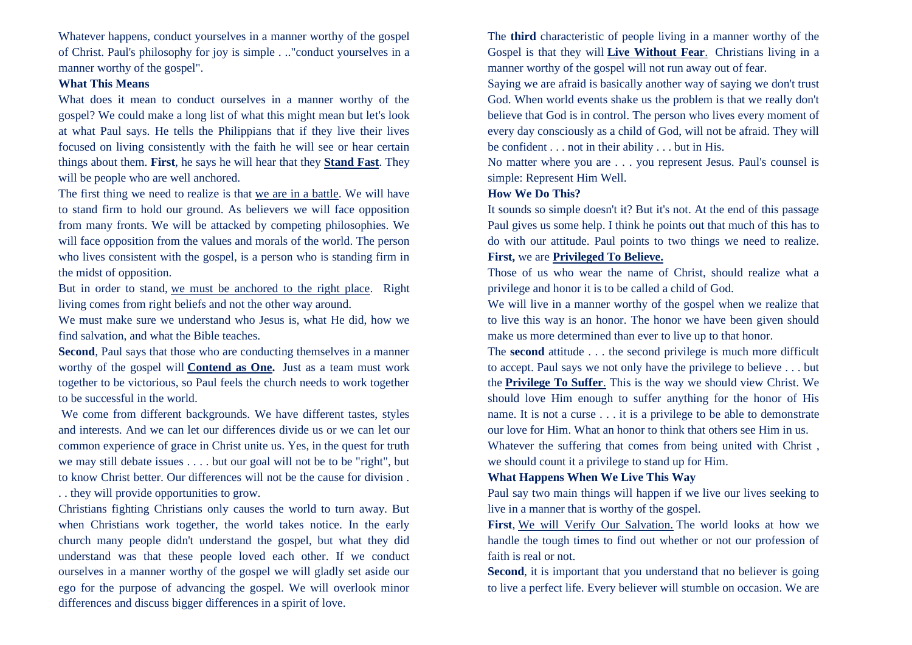Whatever happens, conduct yourselves in a manner worthy of the gospel of Christ. Paul's philosophy for joy is simple . .."conduct yourselves in a manner worthy of the gospel".

### **What This Means**

What does it mean to conduct ourselves in a manner worthy of the gospel? We could make a long list of what this might mean but let's look at what Paul says. He tells the Philippians that if they live their lives focused on living consistently with the faith he will see or hear certain things about them. **First**, he says he will hear that they **Stand Fast**. They will be people who are well anchored.

The first thing we need to realize is that we are in a battle. We will have to stand firm to hold our ground. As believers we will face opposition from many fronts. We will be attacked by competing philosophies. We will face opposition from the values and morals of the world. The person who lives consistent with the gospel, is a person who is standing firm in the midst of opposition.

But in order to stand, we must be anchored to the right place. Right living comes from right beliefs and not the other way around.

We must make sure we understand who Jesus is, what He did, how we find salvation, and what the Bible teaches.

**Second**, Paul says that those who are conducting themselves in a manner worthy of the gospel will **Contend as One.** Just as a team must work together to be victorious, so Paul feels the church needs to work together to be successful in the world.

We come from different backgrounds. We have different tastes, styles and interests. And we can let our differences divide us or we can let our common experience of grace in Christ unite us. Yes, in the quest for truth we may still debate issues . . . . but our goal will not be to be "right", but to know Christ better. Our differences will not be the cause for division . . . they will provide opportunities to grow.

Christians fighting Christians only causes the world to turn away. But when Christians work together, the world takes notice. In the early church many people didn't understand the gospel, but what they did understand was that these people loved each other. If we conduct ourselves in a manner worthy of the gospel we will gladly set aside our ego for the purpose of advancing the gospel. We will overlook minor differences and discuss bigger differences in a spirit of love.

The **third** characteristic of people living in a manner worthy of the Gospel is that they will **Live Without Fear**. Christians living in a manner worthy of the gospel will not run away out of fear.

Saying we are afraid is basically another way of saying we don't trust God. When world events shake us the problem is that we really don't believe that God is in control. The person who lives every moment of every day consciously as a child of God, will not be afraid. They will be confident . . . not in their ability . . . but in His.

No matter where you are . . . you represent Jesus. Paul's counsel is simple: Represent Him Well.

#### **How We Do This?**

It sounds so simple doesn't it? But it's not. At the end of this passage Paul gives us some help. I think he points out that much of this has to do with our attitude. Paul points to two things we need to realize. **First,** we are **Privileged To Believe.**

Those of us who wear the name of Christ, should realize what a privilege and honor it is to be called a child of God.

We will live in a manner worthy of the gospel when we realize that to live this way is an honor. The honor we have been given should make us more determined than ever to live up to that honor.

The **second** attitude . . . the second privilege is much more difficult to accept. Paul says we not only have the privilege to believe . . . but the **Privilege To Suffer**. This is the way we should view Christ. We should love Him enough to suffer anything for the honor of His name. It is not a curse . . . it is a privilege to be able to demonstrate our love for Him. What an honor to think that others see Him in us. Whatever the suffering that comes from being united with Christ ,

we should count it a privilege to stand up for Him.

#### **What Happens When We Live This Way**

Paul say two main things will happen if we live our lives seeking to live in a manner that is worthy of the gospel.

**First**, We will Verify Our Salvation. The world looks at how we handle the tough times to find out whether or not our profession of faith is real or not.

**Second**, it is important that you understand that no believer is going to live a perfect life. Every believer will stumble on occasion. We are